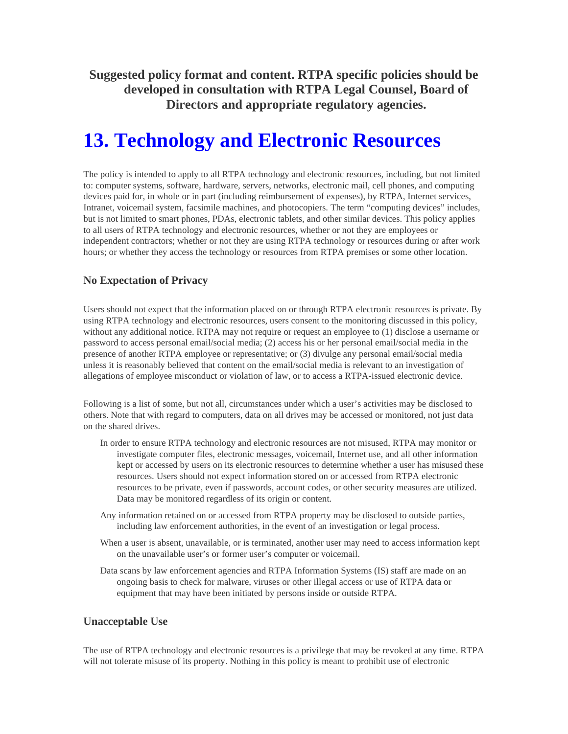**Suggested policy format and content. RTPA specific policies should be developed in consultation with RTPA Legal Counsel, Board of Directors and appropriate regulatory agencies.** 

# **13. Technology and Electronic Resources**

The policy is intended to apply to all RTPA technology and electronic resources, including, but not limited to: computer systems, software, hardware, servers, networks, electronic mail, cell phones, and computing devices paid for, in whole or in part (including reimbursement of expenses), by RTPA, Internet services, Intranet, voicemail system, facsimile machines, and photocopiers. The term "computing devices" includes, but is not limited to smart phones, PDAs, electronic tablets, and other similar devices. This policy applies to all users of RTPA technology and electronic resources, whether or not they are employees or independent contractors; whether or not they are using RTPA technology or resources during or after work hours; or whether they access the technology or resources from RTPA premises or some other location.

# **No Expectation of Privacy**

Users should not expect that the information placed on or through RTPA electronic resources is private. By using RTPA technology and electronic resources, users consent to the monitoring discussed in this policy, without any additional notice. RTPA may not require or request an employee to (1) disclose a username or password to access personal email/social media; (2) access his or her personal email/social media in the presence of another RTPA employee or representative; or (3) divulge any personal email/social media unless it is reasonably believed that content on the email/social media is relevant to an investigation of allegations of employee misconduct or violation of law, or to access a RTPA-issued electronic device.

Following is a list of some, but not all, circumstances under which a user's activities may be disclosed to others. Note that with regard to computers, data on all drives may be accessed or monitored, not just data on the shared drives.

- In order to ensure RTPA technology and electronic resources are not misused, RTPA may monitor or investigate computer files, electronic messages, voicemail, Internet use, and all other information kept or accessed by users on its electronic resources to determine whether a user has misused these resources. Users should not expect information stored on or accessed from RTPA electronic resources to be private, even if passwords, account codes, or other security measures are utilized. Data may be monitored regardless of its origin or content.
- Any information retained on or accessed from RTPA property may be disclosed to outside parties, including law enforcement authorities, in the event of an investigation or legal process.
- When a user is absent, unavailable, or is terminated, another user may need to access information kept on the unavailable user's or former user's computer or voicemail.
- Data scans by law enforcement agencies and RTPA Information Systems (IS) staff are made on an ongoing basis to check for malware, viruses or other illegal access or use of RTPA data or equipment that may have been initiated by persons inside or outside RTPA.

### **Unacceptable Use**

The use of RTPA technology and electronic resources is a privilege that may be revoked at any time. RTPA will not tolerate misuse of its property. Nothing in this policy is meant to prohibit use of electronic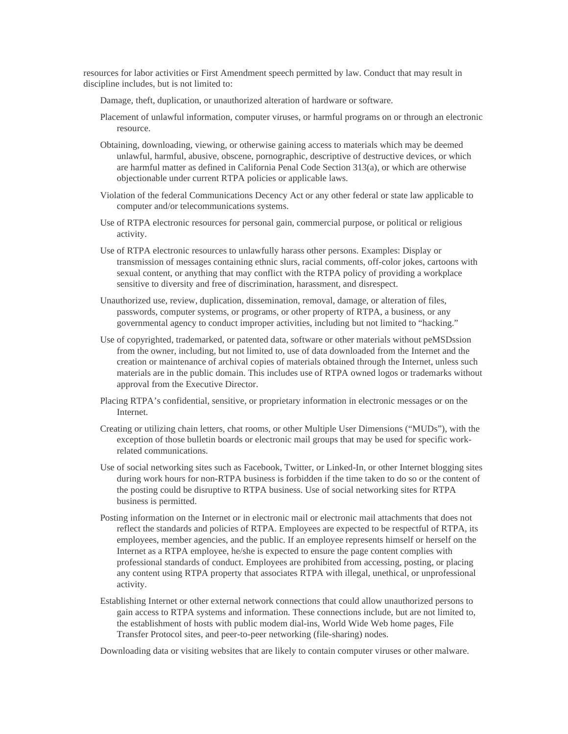resources for labor activities or First Amendment speech permitted by law. Conduct that may result in discipline includes, but is not limited to:

Damage, theft, duplication, or unauthorized alteration of hardware or software.

- Placement of unlawful information, computer viruses, or harmful programs on or through an electronic resource.
- Obtaining, downloading, viewing, or otherwise gaining access to materials which may be deemed unlawful, harmful, abusive, obscene, pornographic, descriptive of destructive devices, or which are harmful matter as defined in California Penal Code Section 313(a), or which are otherwise objectionable under current RTPA policies or applicable laws.
- Violation of the federal Communications Decency Act or any other federal or state law applicable to computer and/or telecommunications systems.
- Use of RTPA electronic resources for personal gain, commercial purpose, or political or religious activity.
- Use of RTPA electronic resources to unlawfully harass other persons. Examples: Display or transmission of messages containing ethnic slurs, racial comments, off-color jokes, cartoons with sexual content, or anything that may conflict with the RTPA policy of providing a workplace sensitive to diversity and free of discrimination, harassment, and disrespect.
- Unauthorized use, review, duplication, dissemination, removal, damage, or alteration of files, passwords, computer systems, or programs, or other property of RTPA, a business, or any governmental agency to conduct improper activities, including but not limited to "hacking."
- Use of copyrighted, trademarked, or patented data, software or other materials without peMSDssion from the owner, including, but not limited to, use of data downloaded from the Internet and the creation or maintenance of archival copies of materials obtained through the Internet, unless such materials are in the public domain. This includes use of RTPA owned logos or trademarks without approval from the Executive Director.
- Placing RTPA's confidential, sensitive, or proprietary information in electronic messages or on the Internet.
- Creating or utilizing chain letters, chat rooms, or other Multiple User Dimensions ("MUDs"), with the exception of those bulletin boards or electronic mail groups that may be used for specific workrelated communications.
- Use of social networking sites such as Facebook, Twitter, or Linked-In, or other Internet blogging sites during work hours for non-RTPA business is forbidden if the time taken to do so or the content of the posting could be disruptive to RTPA business. Use of social networking sites for RTPA business is permitted.
- Posting information on the Internet or in electronic mail or electronic mail attachments that does not reflect the standards and policies of RTPA. Employees are expected to be respectful of RTPA, its employees, member agencies, and the public. If an employee represents himself or herself on the Internet as a RTPA employee, he/she is expected to ensure the page content complies with professional standards of conduct. Employees are prohibited from accessing, posting, or placing any content using RTPA property that associates RTPA with illegal, unethical, or unprofessional activity.
- Establishing Internet or other external network connections that could allow unauthorized persons to gain access to RTPA systems and information. These connections include, but are not limited to, the establishment of hosts with public modem dial-ins, World Wide Web home pages, File Transfer Protocol sites, and peer-to-peer networking (file-sharing) nodes.

Downloading data or visiting websites that are likely to contain computer viruses or other malware.